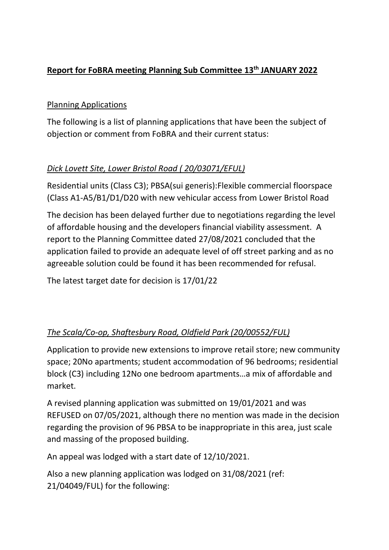## **Report for FoBRA meeting Planning Sub Committee 13th JANUARY 2022**

### Planning Applications

The following is a list of planning applications that have been the subject of objection or comment from FoBRA and their current status:

# *Dick Lovett Site, Lower Bristol Road ( 20/03071/EFUL)*

Residential units (Class C3); PBSA(sui generis):Flexible commercial floorspace (Class A1-A5/B1/D1/D20 with new vehicular access from Lower Bristol Road

The decision has been delayed further due to negotiations regarding the level of affordable housing and the developers financial viability assessment. A report to the Planning Committee dated 27/08/2021 concluded that the application failed to provide an adequate level of off street parking and as no agreeable solution could be found it has been recommended for refusal.

The latest target date for decision is 17/01/22

## *The Scala/Co-op, Shaftesbury Road, Oldfield Park (20/00552/FUL)*

Application to provide new extensions to improve retail store; new community space; 20No apartments; student accommodation of 96 bedrooms; residential block (C3) including 12No one bedroom apartments…a mix of affordable and market.

A revised planning application was submitted on 19/01/2021 and was REFUSED on 07/05/2021, although there no mention was made in the decision regarding the provision of 96 PBSA to be inappropriate in this area, just scale and massing of the proposed building.

An appeal was lodged with a start date of 12/10/2021.

Also a new planning application was lodged on 31/08/2021 (ref: 21/04049/FUL) for the following: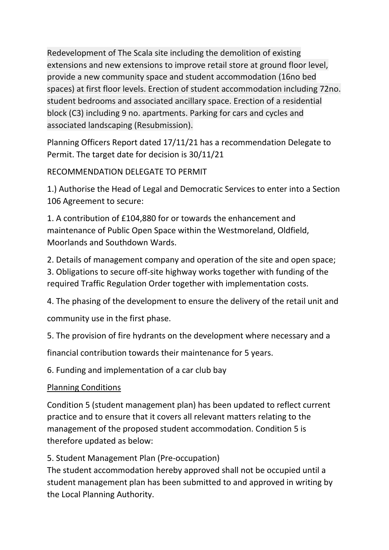Redevelopment of The Scala site including the demolition of existing extensions and new extensions to improve retail store at ground floor level, provide a new community space and student accommodation (16no bed spaces) at first floor levels. Erection of student accommodation including 72no. student bedrooms and associated ancillary space. Erection of a residential block (C3) including 9 no. apartments. Parking for cars and cycles and associated landscaping (Resubmission).

Planning Officers Report dated 17/11/21 has a recommendation Delegate to Permit. The target date for decision is 30/11/21

RECOMMENDATION DELEGATE TO PERMIT

1.) Authorise the Head of Legal and Democratic Services to enter into a Section 106 Agreement to secure:

1. A contribution of £104,880 for or towards the enhancement and maintenance of Public Open Space within the Westmoreland, Oldfield, Moorlands and Southdown Wards.

2. Details of management company and operation of the site and open space; 3. Obligations to secure off-site highway works together with funding of the required Traffic Regulation Order together with implementation costs.

4. The phasing of the development to ensure the delivery of the retail unit and community use in the first phase.

5. The provision of fire hydrants on the development where necessary and a

financial contribution towards their maintenance for 5 years.

6. Funding and implementation of a car club bay

Planning Conditions

Condition 5 (student management plan) has been updated to reflect current practice and to ensure that it covers all relevant matters relating to the management of the proposed student accommodation. Condition 5 is therefore updated as below:

5. Student Management Plan (Pre-occupation)

The student accommodation hereby approved shall not be occupied until a student management plan has been submitted to and approved in writing by the Local Planning Authority.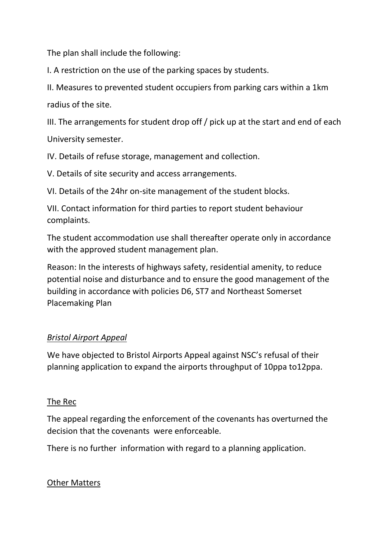The plan shall include the following:

I. A restriction on the use of the parking spaces by students.

II. Measures to prevented student occupiers from parking cars within a 1km radius of the site.

III. The arrangements for student drop off / pick up at the start and end of each University semester.

IV. Details of refuse storage, management and collection.

V. Details of site security and access arrangements.

VI. Details of the 24hr on-site management of the student blocks.

VII. Contact information for third parties to report student behaviour complaints.

The student accommodation use shall thereafter operate only in accordance with the approved student management plan.

Reason: In the interests of highways safety, residential amenity, to reduce potential noise and disturbance and to ensure the good management of the building in accordance with policies D6, ST7 and Northeast Somerset Placemaking Plan

### *Bristol Airport Appeal*

We have objected to Bristol Airports Appeal against NSC's refusal of their planning application to expand the airports throughput of 10ppa to12ppa.

#### The Rec

The appeal regarding the enforcement of the covenants has overturned the decision that the covenants were enforceable.

There is no further information with regard to a planning application.

#### Other Matters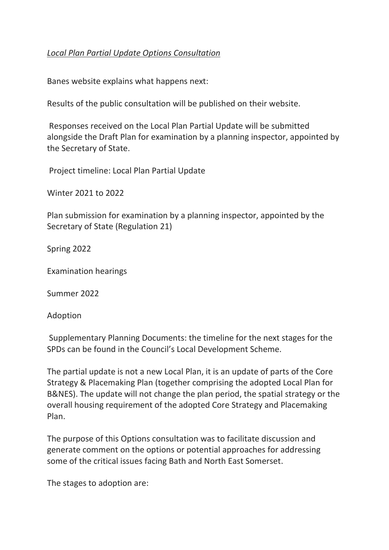### *Local Plan Partial Update Options Consultation*

Banes website explains what happens next:

Results of the public consultation will be published on their website.

Responses received on the Local Plan Partial Update will be submitted alongside the Draft Plan for examination by a planning inspector, appointed by the Secretary of State.

Project timeline: Local Plan Partial Update

Winter 2021 to 2022

Plan submission for examination by a planning inspector, appointed by the Secretary of State (Regulation 21)

Spring 2022

Examination hearings

Summer 2022

Adoption

Supplementary Planning Documents: the timeline for the next stages for the SPDs can be found in the Council's Local Development Scheme.

The partial update is not a new Local Plan, it is an update of parts of the Core Strategy & Placemaking Plan (together comprising the adopted Local Plan for B&NES). The update will not change the plan period, the spatial strategy or the overall housing requirement of the adopted Core Strategy and Placemaking Plan.

The purpose of this Options consultation was to facilitate discussion and generate comment on the options or potential approaches for addressing some of the critical issues facing Bath and North East Somerset.

The stages to adoption are: